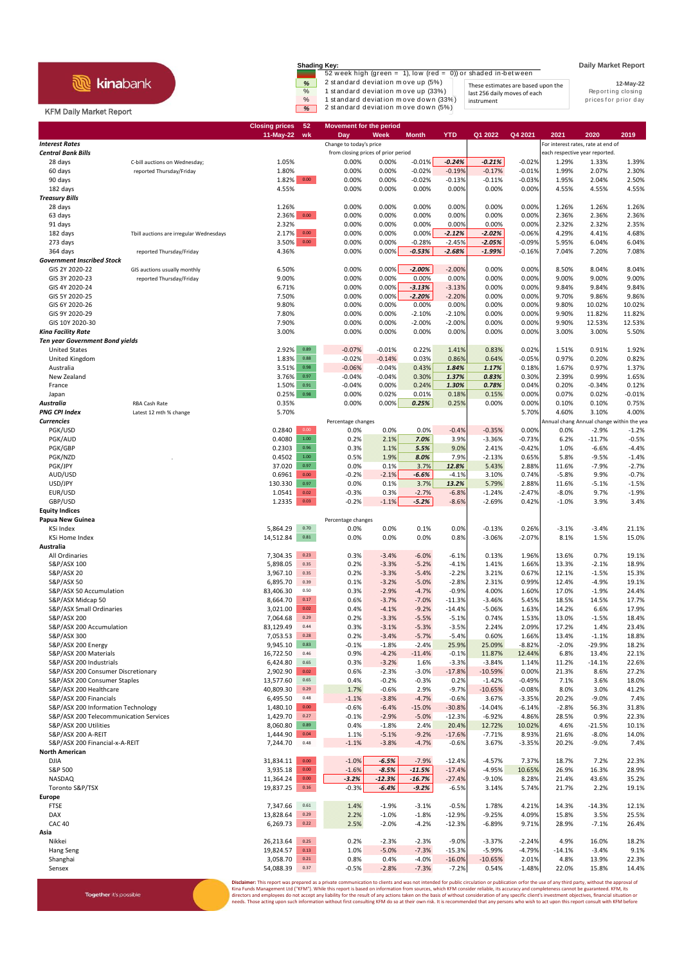## **R** kinabank

Together it's possible

**Shading Key: Daily Market Report**<br>
52 week high (green = 1), low (red = 0)) or shaded in-between<br>
2 standard deviation m ove up (5%) These estimates are based upon the **12-May-22** % 1 standard deviation m ove up (33%) last 256 daily moves of each last the Reporting closing the standard deviation m ove down (33%) last tymoves of each last the prior day **8** 2 st and ard deviation move down (5%) instrument

**12-May-22** These estimates are based upon the last 256 daily moves of each

## KFM Daily Market Report

|                                                         |                                                          | <b>Closing prices</b><br>11-May-22 | 52<br>wk                            | <b>Movement for the period</b><br>Day | Week               | <b>Month</b>         | <b>YTD</b>           | Q1 2022                            | Q4 2021              | 2021                           | 2020                                      | 2019               |
|---------------------------------------------------------|----------------------------------------------------------|------------------------------------|-------------------------------------|---------------------------------------|--------------------|----------------------|----------------------|------------------------------------|----------------------|--------------------------------|-------------------------------------------|--------------------|
| <b>Interest Rates</b>                                   |                                                          |                                    |                                     | Change to today's price               |                    |                      |                      | For interest rates, rate at end of |                      |                                |                                           |                    |
| <b>Central Bank Bills</b>                               |                                                          |                                    | from closing prices of prior period |                                       |                    |                      |                      |                                    |                      | each respective year reported. |                                           |                    |
| 28 days                                                 | C-bill auctions on Wednesday;                            | 1.05%                              |                                     | 0.00%                                 | 0.00%              | $-0.01%$             | $-0.24%$             | $-0.21%$                           | $-0.02%$             | 1.29%                          | 1.33%                                     | 1.39%              |
| 60 days<br>90 days                                      | reported Thursday/Friday                                 | 1.80%<br>1.82%                     | 0.00                                | 0.00%<br>0.00%                        | 0.00%<br>0.00%     | $-0.02%$<br>$-0.02%$ | $-0.19%$<br>$-0.13%$ | $-0.17%$<br>$-0.11%$               | $-0.01%$<br>$-0.03%$ | 1.99%<br>1.95%                 | 2.07%<br>2.04%                            | 2.30%<br>2.50%     |
| 182 days                                                |                                                          | 4.55%                              |                                     | 0.00%                                 | 0.00%              | 0.00%                | 0.00%                | 0.00%                              | 0.00%                | 4.55%                          | 4.55%                                     | 4.55%              |
| <b>Treasury Bills</b>                                   |                                                          |                                    |                                     |                                       |                    |                      |                      |                                    |                      |                                |                                           |                    |
| 28 days                                                 |                                                          | 1.26%                              |                                     | 0.00%                                 | 0.00%              | 0.00%                | 0.00%                | 0.00%                              | 0.00%                | 1.26%                          | 1.26%                                     | 1.26%              |
| 63 days                                                 |                                                          | 2.36%                              | $0.00\,$                            | 0.00%                                 | 0.00%              | 0.00%                | 0.00%                | 0.00%                              | 0.00%                | 2.36%                          | 2.36%                                     | 2.36%              |
| 91 days<br>182 days                                     | Tbill auctions are irregular Wednesdays                  | 2.32%<br>2.17%                     | 0.00                                | 0.00%<br>0.00%                        | 0.00%<br>0.00%     | 0.00%<br>0.00%       | 0.00%<br>$-2.12%$    | 0.00%<br>$-2.02%$                  | 0.00%<br>$-0.06%$    | 2.32%<br>4.29%                 | 2.32%<br>4.41%                            | 2.35%<br>4.68%     |
| 273 days                                                |                                                          | 3.50%                              | $0.00\,$                            | 0.00%                                 | 0.00%              | $-0.28%$             | $-2.45%$             | $-2.05%$                           | $-0.09%$             | 5.95%                          | 6.04%                                     | 6.04%              |
| 364 days                                                | reported Thursday/Friday                                 | 4.36%                              |                                     | 0.00%                                 | 0.00%              | $-0.53%$             | $-2.68%$             | $-1.99%$                           | $-0.16%$             | 7.04%                          | 7.20%                                     | 7.08%              |
| <b>Government Inscribed Stock</b>                       |                                                          |                                    |                                     |                                       |                    |                      |                      |                                    |                      |                                |                                           |                    |
| GIS 2Y 2020-22<br>GIS 3Y 2020-23                        | GIS auctions usually monthly<br>reported Thursday/Friday | 6.50%<br>9.00%                     |                                     | 0.00%<br>0.00%                        | 0.00%<br>0.00%     | $-2.00%$<br>0.00%    | $-2.00%$<br>0.00%    | 0.00%<br>0.00%                     | 0.00%<br>0.00%       | 8.50%<br>9.00%                 | 8.04%<br>9.00%                            | 8.04%<br>9.00%     |
| GIS 4Y 2020-24                                          |                                                          | 6.71%                              |                                     | 0.00%                                 | 0.00%              | $-3.13%$             | $-3.13%$             | 0.00%                              | 0.00%                | 9.84%                          | 9.84%                                     | 9.84%              |
| GIS 5Y 2020-25                                          |                                                          | 7.50%                              |                                     | 0.00%                                 | 0.00%              | $-2.20%$             | $-2.20%$             | 0.00%                              | 0.00%                | 9.70%                          | 9.86%                                     | 9.86%              |
| GIS 6Y 2020-26                                          |                                                          | 9.80%                              |                                     | 0.00%                                 | 0.00%              | 0.00%                | 0.00%                | 0.00%                              | 0.00%                | 9.80%                          | 10.02%                                    | 10.02%             |
| GIS 9Y 2020-29                                          |                                                          | 7.80%                              |                                     | 0.00%                                 | 0.00%              | $-2.10%$             | $-2.10%$             | 0.00%                              | 0.00%                | 9.90%                          | 11.82%                                    | 11.82%             |
| GIS 10Y 2020-30<br><b>Kina Facility Rate</b>            |                                                          | 7.90%<br>3.00%                     |                                     | 0.00%<br>0.00%                        | 0.00%<br>0.00%     | $-2.00%$<br>0.00%    | $-2.00%$<br>0.00%    | 0.00%<br>0.00%                     | 0.00%<br>0.00%       | 9.90%<br>3.00%                 | 12.53%<br>3.00%                           | 12.53%<br>5.50%    |
| <b>Ten year Government Bond yields</b>                  |                                                          |                                    |                                     |                                       |                    |                      |                      |                                    |                      |                                |                                           |                    |
| <b>United States</b>                                    |                                                          | 2.92%                              | 0.89                                | $-0.07%$                              | $-0.01%$           | 0.22%                | 1.41%                | 0.83%                              | 0.02%                | 1.51%                          | 0.91%                                     | 1.92%              |
| United Kingdom                                          |                                                          | 1.83%                              | 0.88                                | $-0.02%$                              | $-0.14%$           | 0.03%                | 0.86%                | 0.64%                              | $-0.05%$             | 0.97%                          | 0.20%                                     | 0.82%              |
| Australia                                               |                                                          | 3.51%                              | 0.98                                | $-0.06%$                              | $-0.04%$           | 0.43%                | 1.84%                | 1.17%                              | 0.18%                | 1.67%                          | 0.97%                                     | 1.37%              |
| New Zealand                                             |                                                          | 3.76%                              | 0.97<br>0.91                        | $-0.04%$                              | $-0.04%$<br>0.00%  | 0.30%                | 1.37%                | 0.83%<br>0.78%                     | 0.30%                | 2.39%                          | 0.99%                                     | 1.65%              |
| France<br>Japan                                         |                                                          | 1.50%<br>0.25%                     | 0.98                                | $-0.04%$<br>0.00%                     | 0.02%              | 0.24%<br>0.01%       | 1.30%<br>0.18%       | 0.15%                              | 0.04%<br>0.00%       | 0.20%<br>0.07%                 | $-0.34%$<br>0.02%                         | 0.12%<br>$-0.01%$  |
| Australia                                               | <b>RBA Cash Rate</b>                                     | 0.35%                              |                                     | 0.00%                                 | 0.00%              | 0.25%                | 0.25%                | 0.00%                              | 0.00%                | 0.10%                          | 0.10%                                     | 0.75%              |
| <b>PNG CPI Index</b>                                    | Latest 12 mth % change                                   | 5.70%                              |                                     |                                       |                    |                      |                      |                                    | 5.70%                | 4.60%                          | 3.10%                                     | 4.00%              |
| <b>Currencies</b>                                       |                                                          |                                    |                                     | Percentage changes                    |                    |                      |                      |                                    |                      |                                | Annual chang Annual change within the yea |                    |
| PGK/USD                                                 |                                                          | 0.2840<br>0.4080                   | 0.00<br>$1.00\,$                    | 0.0%<br>0.2%                          | 0.0%<br>2.1%       | 0.0%<br>7.0%         | $-0.4%$<br>3.9%      | $-0.35%$                           | 0.00%                | 0.0%<br>6.2%                   | $-2.9%$<br>$-11.7%$                       | $-1.2%$<br>$-0.5%$ |
| PGK/AUD<br>PGK/GBP                                      |                                                          | 0.2303                             | 0.96                                | 0.3%                                  | 1.1%               | 5.5%                 | 9.0%                 | $-3.36%$<br>2.41%                  | $-0.73%$<br>$-0.42%$ | 1.0%                           | $-6.6%$                                   | $-4.4%$            |
| PGK/NZD                                                 |                                                          | 0.4502                             | 1.00                                | 0.5%                                  | 1.9%               | 8.0%                 | 7.9%                 | $-2.13%$                           | 0.65%                | 5.8%                           | $-9.5%$                                   | $-1.4%$            |
| PGK/JPY                                                 |                                                          | 37.020                             | 0.97                                | 0.0%                                  | 0.1%               | 3.7%                 | 12.8%                | 5.43%                              | 2.88%                | 11.6%                          | $-7.9%$                                   | $-2.7%$            |
| AUD/USD                                                 |                                                          | 0.6961                             | 0.00                                | $-0.2%$                               | $-2.1%$            | $-6.6%$              | $-4.1%$              | 3.10%                              | 0.74%                | $-5.8%$                        | 9.9%                                      | $-0.7%$            |
| USD/JPY<br>EUR/USD                                      |                                                          | 130.330<br>1.0541                  | 0.97<br>$0.02\,$                    | 0.0%<br>$-0.3%$                       | 0.1%<br>0.3%       | 3.7%<br>$-2.7%$      | 13.2%<br>$-6.8%$     | 5.79%<br>$-1.24%$                  | 2.88%<br>$-2.47%$    | 11.6%<br>$-8.0%$               | $-5.1%$<br>9.7%                           | $-1.5%$<br>$-1.9%$ |
| GBP/USD                                                 |                                                          | 1.2335                             | 0.03                                | $-0.2%$                               | $-1.1%$            | $-5.2%$              | $-8.6%$              | $-2.69%$                           | 0.42%                | $-1.0%$                        | 3.9%                                      | 3.4%               |
| <b>Equity Indices</b>                                   |                                                          |                                    |                                     |                                       |                    |                      |                      |                                    |                      |                                |                                           |                    |
| Papua New Guinea                                        |                                                          |                                    |                                     | Percentage changes                    |                    |                      |                      |                                    |                      |                                |                                           |                    |
| KSi Index                                               |                                                          | 5,864.29                           | 0.70                                | 0.0%                                  | 0.0%               | 0.1%                 | 0.0%                 | $-0.13%$                           | 0.26%                | $-3.1%$                        | $-3.4%$                                   | 21.1%              |
| KSi Home Index<br>Australia                             |                                                          | 14,512.84                          | 0.81                                | 0.0%                                  | 0.0%               | 0.0%                 | 0.8%                 | $-3.06%$                           | $-2.07%$             | 8.1%                           | 1.5%                                      | 15.0%              |
| All Ordinaries                                          |                                                          | 7,304.35                           | 0.23                                | 0.3%                                  | $-3.4%$            | $-6.0%$              | $-6.1%$              | 0.13%                              | 1.96%                | 13.6%                          | 0.7%                                      | 19.1%              |
| S&P/ASX 100                                             |                                                          | 5,898.05                           | 0.35                                | 0.2%                                  | $-3.3%$            | $-5.2%$              | $-4.1%$              | 1.41%                              | 1.66%                | 13.3%                          | $-2.1%$                                   | 18.9%              |
| S&P/ASX 20                                              |                                                          | 3,967.10                           | 0.35                                | 0.2%                                  | $-3.3%$            | $-5.4%$              | $-2.2%$              | 3.21%                              | 0.67%                | 12.1%                          | $-1.5%$                                   | 15.3%              |
| <b>S&amp;P/ASX 50</b>                                   |                                                          | 6,895.70                           | 0.39<br>0.50                        | 0.1%                                  | $-3.2%$<br>$-2.9%$ | $-5.0%$              | $-2.8%$              | 2.31%                              | 0.99%                | 12.4%                          | $-4.9%$<br>$-1.9%$                        | 19.1%              |
| S&P/ASX 50 Accumulation<br>S&P/ASX Midcap 50            |                                                          | 83,406.30<br>8,664.70              | $0.17\,$                            | 0.3%<br>0.6%                          | $-3.7%$            | $-4.7%$<br>$-7.0%$   | $-0.9%$<br>$-11.3%$  | 4.00%<br>$-3.46%$                  | 1.60%<br>5.45%       | 17.0%<br>18.5%                 | 14.5%                                     | 24.4%<br>17.7%     |
| S&P/ASX Small Ordinaries                                |                                                          | 3,021.00                           | 0.02                                | 0.4%                                  | $-4.1%$            | $-9.2%$              | $-14.4%$             | $-5.06%$                           | 1.63%                | 14.2%                          | 6.6%                                      | 17.9%              |
| S&P/ASX 200                                             |                                                          | 7,064.68                           | 0.29                                | 0.2%                                  | $-3.3%$            | $-5.5%$              | $-5.1%$              | 0.74%                              | 1.53%                | 13.0%                          | $-1.5%$                                   | 18.4%              |
| S&P/ASX 200 Accumulation                                |                                                          | 83,129.49                          | 0.44                                | 0.3%                                  | $-3.1%$            | $-5.3%$              | $-3.5%$              | 2.24%                              | 2.09%                | 17.2%                          | 1.4%                                      | 23.4%              |
| S&P/ASX 300<br>S&P/ASX 200 Energy                       |                                                          | 7,053.53<br>9,945.10               | 0.28<br>0.83                        | 0.2%<br>$-0.1%$                       | $-3.4%$<br>$-1.8%$ | $-5.7%$<br>$-2.4%$   | $-5.4%$<br>25.9%     | 0.60%<br>25.09%                    | 1.66%<br>$-8.82%$    | 13.4%<br>$-2.0%$               | $-1.1%$<br>$-29.9%$                       | 18.8%<br>18.2%     |
| S&P/ASX 200 Materials                                   |                                                          | 16,722.50                          | 0.46                                | 0.9%                                  | $-4.2%$            | $-11.4%$             | $-0.1%$              | 11.87%                             | 12.44%               | 6.8%                           | 13.4%                                     | 22.1%              |
| S&P/ASX 200 Industrials                                 |                                                          | 6,424.80                           | 0.65                                | 0.3%                                  | $-3.2%$            | 1.6%                 | $-3.3%$              | $-3.84%$                           | 1.14%                | 11.2%                          | $-14.1%$                                  | 22.6%              |
| S&P/ASX 200 Consumer Discretionary                      |                                                          | 2,902.90                           | 0.02                                | 0.6%                                  | $-2.3%$            | $-3.0%$              | $-17.8%$             | $-10.59%$                          | 0.00%                | 21.3%                          | 8.6%                                      | 27.2%              |
| S&P/ASX 200 Consumer Staples                            |                                                          | 13,577.60                          | 0.65                                | 0.4%                                  | $-0.2%$            | $-0.3%$              | 0.2%                 | $-1.42%$                           | $-0.49%$             | 7.1%                           | 3.6%                                      | 18.0%              |
| S&P/ASX 200 Healthcare<br>S&P/ASX 200 Financials        |                                                          | 40,809.30<br>6,495.50              | 0.29<br>0.48                        | 1.7%<br>$-1.1%$                       | $-0.6%$<br>$-3.8%$ | 2.9%<br>$-4.7%$      | $-9.7%$<br>$-0.6%$   | $-10.65%$<br>3.67%                 | $-0.08%$<br>$-3.35%$ | 8.0%<br>20.2%                  | 3.0%<br>$-9.0%$                           | 41.2%<br>7.4%      |
| S&P/ASX 200 Information Technology                      |                                                          | 1,480.10                           | 0.00                                | $-0.6%$                               | $-6.4%$            | $-15.0%$             | $-30.8%$             | $-14.04%$                          | $-6.14%$             | $-2.8%$                        | 56.3%                                     | 31.8%              |
| S&P/ASX 200 Telecommunication Services                  |                                                          | 1,429.70                           | 0.27                                | $-0.1%$                               | $-2.9%$            | $-5.0%$              | $-12.3%$             | $-6.92%$                           | 4.86%                | 28.5%                          | 0.9%                                      | 22.3%              |
| S&P/ASX 200 Utilities                                   |                                                          | 8,060.80                           | 0.89                                | 0.4%                                  | $-1.8%$            | 2.4%                 | 20.4%                | 12.72%                             | 10.02%               | 4.6%                           | $-21.5%$                                  | 10.1%              |
| S&P/ASX 200 A-REIT                                      |                                                          | 1,444.90                           | 0.04                                | 1.1%                                  | $-5.1%$            | $-9.2%$              | $-17.6%$             | $-7.71%$                           | 8.93%                | 21.6%                          | $-8.0%$                                   | 14.0%              |
| S&P/ASX 200 Financial-x-A-REIT<br><b>North American</b> |                                                          | 7,244.70                           | 0.48                                | $-1.1%$                               | $-3.8%$            | $-4.7%$              | $-0.6%$              | 3.67%                              | $-3.35%$             | 20.2%                          | $-9.0%$                                   | 7.4%               |
| <b>DJIA</b>                                             |                                                          | 31,834.11                          | 0.00                                | $-1.0%$                               | $-6.5%$            | $-7.9%$              | $-12.4%$             | $-4.57%$                           | 7.37%                | 18.7%                          | 7.2%                                      | 22.3%              |
| S&P 500                                                 |                                                          | 3,935.18                           | 0.00                                | $-1.6%$                               | $-8.5%$            | $-11.5%$             | $-17.4%$             | $-4.95%$                           | 10.65%               | 26.9%                          | 16.3%                                     | 28.9%              |
| NASDAQ                                                  |                                                          | 11,364.24                          | $0.00\,$                            | $-3.2%$                               | $-12.3%$           | $-16.7%$             | $-27.4%$             | $-9.10%$                           | 8.28%                | 21.4%                          | 43.6%                                     | 35.2%              |
| Toronto S&P/TSX                                         |                                                          | 19,837.25                          | $0.16\,$                            | $-0.3%$                               | $-6.4%$            | $-9.2%$              | $-6.5%$              | 3.14%                              | 5.74%                | 21.7%                          | 2.2%                                      | 19.1%              |
| Europe<br><b>FTSE</b>                                   |                                                          | 7,347.66                           | 0.61                                | 1.4%                                  | $-1.9%$            | $-3.1%$              | $-0.5%$              | 1.78%                              | 4.21%                | 14.3%                          | $-14.3%$                                  | 12.1%              |
| DAX                                                     |                                                          | 13,828.64                          | 0.29                                | 2.2%                                  | $-1.0%$            | $-1.8%$              | $-12.9%$             | $-9.25%$                           | 4.09%                | 15.8%                          | 3.5%                                      | 25.5%              |
| <b>CAC 40</b>                                           |                                                          | 6,269.73                           | 0.22                                | 2.5%                                  | $-2.0%$            | $-4.2%$              | $-12.3%$             | $-6.89%$                           | 9.71%                | 28.9%                          | $-7.1%$                                   | 26.4%              |
| Asia                                                    |                                                          |                                    |                                     |                                       |                    |                      |                      |                                    |                      |                                |                                           |                    |
| Nikkei                                                  |                                                          | 26,213.64                          | 0.25                                | 0.2%                                  | $-2.3%$            | $-2.3%$              | $-9.0%$              | $-3.37%$                           | $-2.24%$             | 4.9%                           | 16.0%                                     | 18.2%              |
| Hang Seng<br>Shanghai                                   |                                                          | 19,824.57<br>3,058.70              | 0.13<br>0.21                        | 1.0%<br>0.8%                          | $-5.0%$<br>0.4%    | $-7.3%$<br>$-4.0%$   | $-15.3%$<br>$-16.0%$ | $-5.99%$<br>$-10.65%$              | $-4.79%$<br>2.01%    | $-14.1%$<br>4.8%               | $-3.4%$<br>13.9%                          | 9.1%<br>22.3%      |
| Sensex                                                  |                                                          | 54,088.39                          | 0.37                                | $-0.5%$                               | $-2.8%$            | $-7.3%$              | $-7.2%$              | 0.54%                              | $-1.48%$             | 22.0%                          | 15.8%                                     | 14.4%              |
|                                                         |                                                          |                                    |                                     |                                       |                    |                      |                      |                                    |                      |                                |                                           |                    |

**Disclaimer**: This report was prepared as a private communication to clients and was not intended for public circulation or publication orfor the use of any third party, without the approval of<br>Kina Funds Management Ltd ("